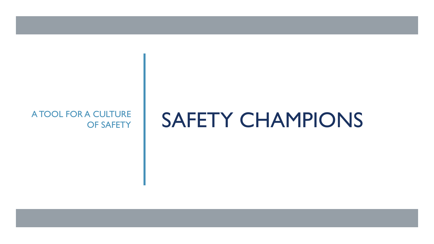## OF SAFETY

## A TOOL FOR A CULTURE SAFETY CHAMPIONS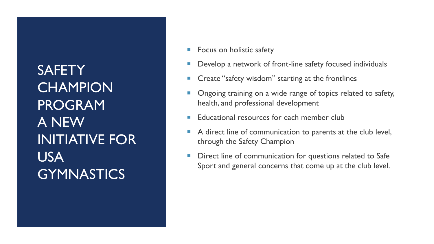**SAFETY CHAMPION** PROGRAM A NEW INITIATIVE FOR USA **GYMNASTICS** 

- Focus on holistic safety
- Develop a network of front-line safety focused individuals
- Create "safety wisdom" starting at the frontlines
- Ongoing training on a wide range of topics related to safety, health, and professional development
- Educational resources for each member club
- A direct line of communication to parents at the club level, through the Safety Champion
- **Direct line of communication for questions related to Safe** Sport and general concerns that come up at the club level.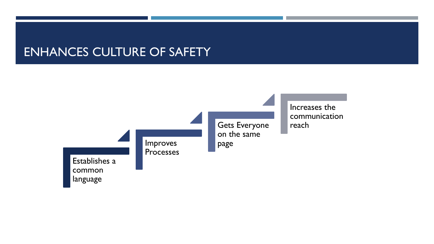## ENHANCES CULTURE OF SAFETY

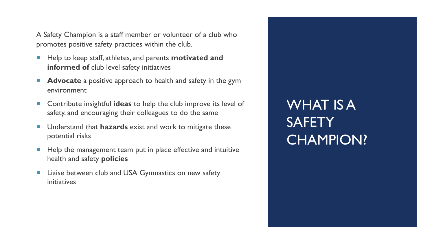A Safety Champion is a staff member or volunteer of a club who promotes positive safety practices within the club.

- Help to keep staff, athletes, and parents **motivated and informed of** club level safety initiatives
- **Advocate** a positive approach to health and safety in the gym environment
- ¡ Contribute insightful **ideas** to help the club improve its level of safety, and encouraging their colleagues to do the same
- Understand that **hazards** exist and work to mitigate these potential risks
- Help the management team put in place effective and intuitive health and safety **policies**
- **Example 1** Liaise between club and USA Gymnastics on new safety initiatives

WHAT IS A **SAFETY** CHAMPION?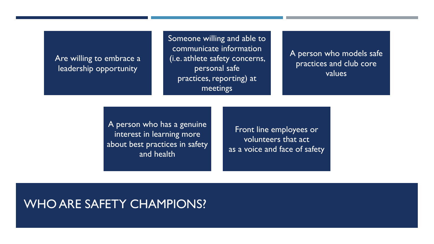### Are willing to embrace a leadership opportunity

Someone willing and able to communicate information (i.e. athlete safety concerns, personal safe practices, reporting) at meetings

A person who models safe practices and club core values

A person who has a genuine interest in learning more about best practices in safety and health

Front line employees or volunteers that act as a voice and face of safety

### WHO ARE SAFETY CHAMPIONS?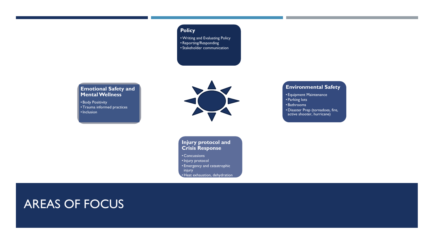### **Policy**

•Writing and Evaluating Policy •Reporting/Responding • Stakeholder communication

#### **Emotional Safety and Mental Wellness**

• Body Positivity •Trauma informed practices •Inclusion



**Injury protocol and Crisis Response** 

• Concussions •Injury protocol • Emergency and catastrophic injury • Heat exhaustion, dehydration

#### **Environmental Safety**

• Equipment Maintenance • Parking lots • Bathrooms •Disaster Prep (tornadoes, fire, active shooter, hurricane)

### AREAS OF FOCUS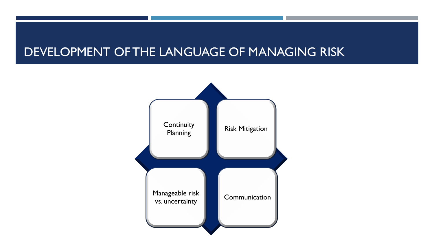## DEVELOPMENT OF THE LANGUAGE OF MANAGING RISK

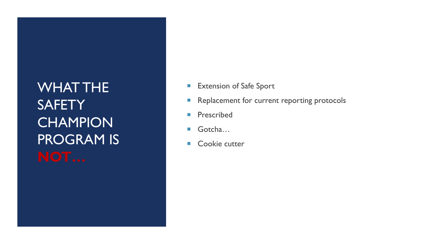WHAT THE **SAFETY CHAMPION** PROGRAM IS

- **Extension of Safe Sport**
- **Replacement for current reporting protocols**
- **Prescribed**
- Gotcha…
- Cookie cutter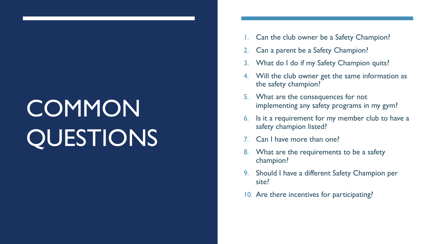# **COMMON** QUESTIONS

- Can the club owner be a Safety Champion?
- Can a parent be a Safety Champion?
- 3. What do I do if my Safety Champion quits?
- 4. Will the club owner get the same information as the safety champion?
- 5. What are the consequences for not implementing any safety programs in my gym?
- 6. Is it a requirement for my member club to have a safety champion listed?
- Can I have more than one?
- 8. What are the requirements to be a safety champion?
- 9. Should I have a different Safety Champion per site?
- 10. Are there incentives for participating?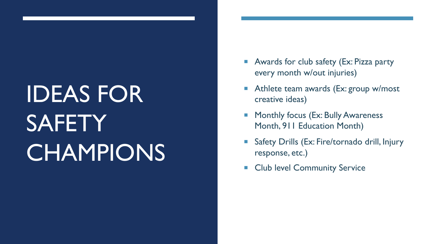# IDEAS FOR **SAFETY CHAMPIONS**

- Awards for club safety (Ex: Pizza party every month w/out injuries)
- Athlete team awards (Ex: group w/most creative ideas)
- Monthly focus (Ex: Bully Awareness Month, 911 Education Month)
- Safety Drills (Ex: Fire/tornado drill, Injury response, etc.)
- **Exercise Community Service**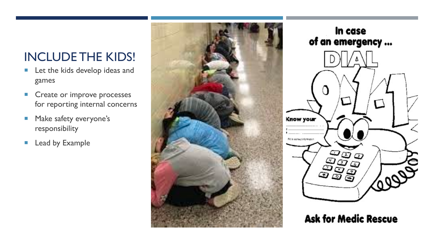## INCLUDE THE KIDS!

- **E** Let the kids develop ideas and games
- **Create or improve processes** for reporting internal concerns
- **E** Make safety everyone's responsibility
- **Example**





**Ask for Medic Rescue**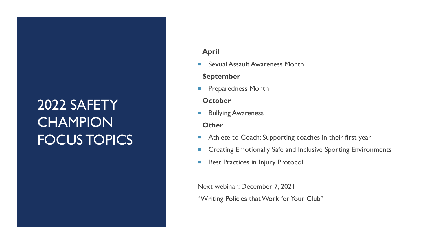## 2022 SAFETY **CHAMPION** FOCUS TOPICS

### **April**

■ Sexual Assault Awareness Month

### **September**

**• Preparedness Month** 

### **October**

**E** Bullying Awareness

### **Other**

- **Athlete to Coach: Supporting coaches in their first year**
- **EXP** Creating Emotionally Safe and Inclusive Sporting Environments
- **Best Practices in Injury Protocol**

Next webinar: December 7, 2021

"Writing Policies that Work for Your Club"